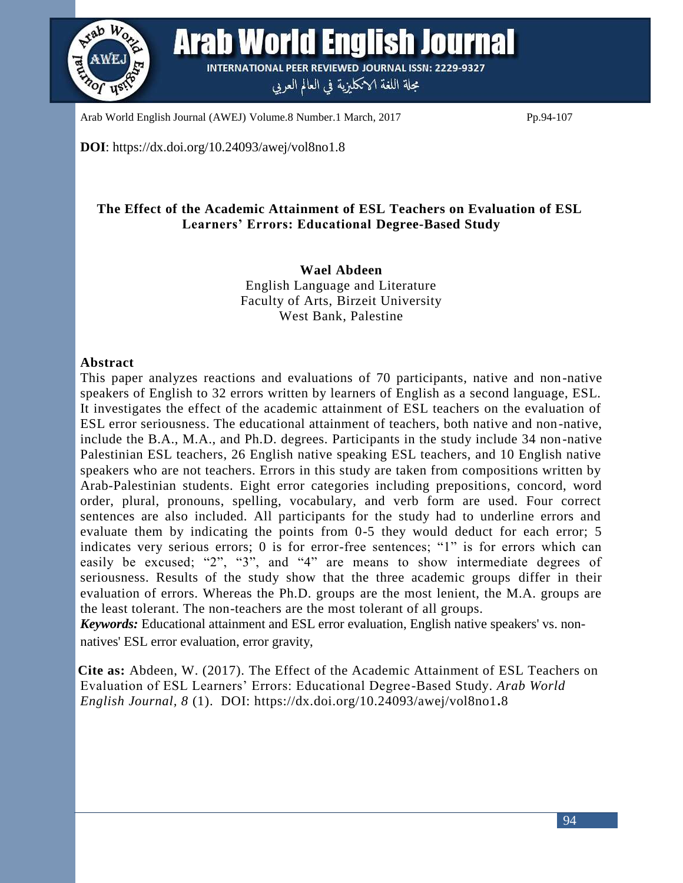

**Arab World English Journal INTERNATIONAL PEER REVIEWED JOURNAL ISSN: 2229-9327** مجلة اللغة الانكليزية في العالم العربي

Arab World English Journal (AWEJ) Volume.8 Number.1 March, 2017 Pp.94-107

**DOI**: https://dx.doi.org/10.24093/awej/vol8no1.8

# **The Effect of the Academic Attainment of ESL Teachers on Evaluation of ESL Learners' Errors: Educational Degree-Based Study**

**Wael Abdeen** English Language and Literature Faculty of Arts, Birzeit University West Bank, Palestine

## **Abstract**

This paper analyzes reactions and evaluations of 70 participants, native and non-native speakers of English to 32 errors written by learners of English as a second language, ESL. It investigates the effect of the academic attainment of ESL teachers on the evaluation of ESL error seriousness. The educational attainment of teachers, both native and non-native, include the B.A., M.A., and Ph.D. degrees. Participants in the study include 34 non-native Palestinian ESL teachers, 26 English native speaking ESL teachers, and 10 English native speakers who are not teachers. Errors in this study are taken from compositions written by Arab-Palestinian students. Eight error categories including prepositions, concord, word order, plural, pronouns, spelling, vocabulary, and verb form are used. Four correct sentences are also included. All participants for the study had to underline errors and evaluate them by indicating the points from 0-5 they would deduct for each error; 5 indicates very serious errors; 0 is for error-free sentences; "1" is for errors which can easily be excused; "2", "3", and "4" are means to show intermediate degrees of seriousness. Results of the study show that the three academic groups differ in their evaluation of errors. Whereas the Ph.D. groups are the most lenient, the M.A. groups are the least tolerant. The non-teachers are the most tolerant of all groups.

*Keywords:* Educational attainment and ESL error evaluation, English native speakers' vs. nonnatives' ESL error evaluation, error gravity,

**Cite as:** Abdeen, W. (2017). The Effect of the Academic Attainment of ESL Teachers on Evaluation of ESL Learners' Errors: Educational Degree-Based Study. *Arab World English Journal, 8* (1). DOI: https://dx.doi.org/10.24093/awej/vol8no1**.**8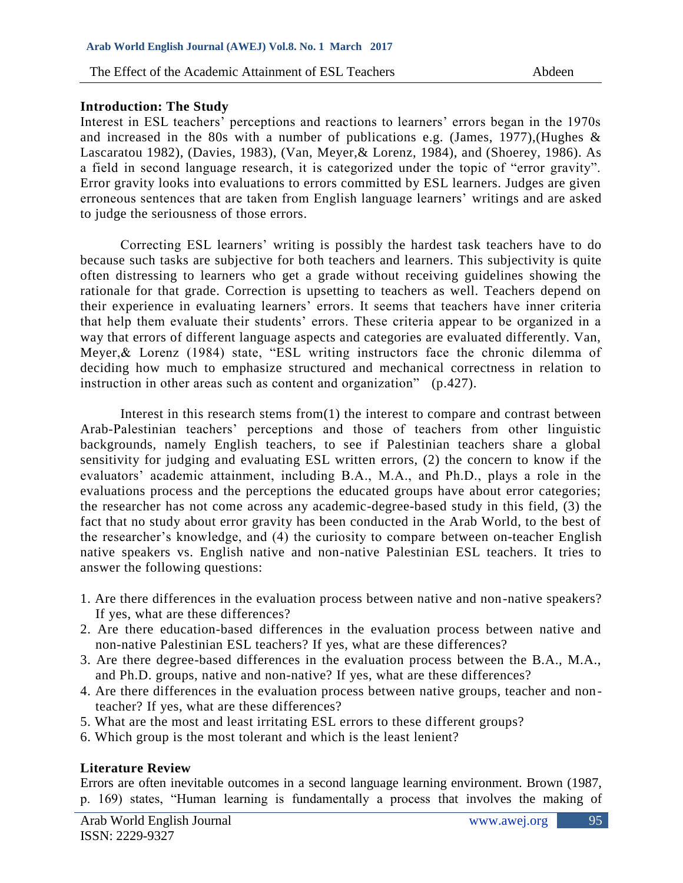### **Introduction: The Study**

Interest in ESL teachers' perceptions and reactions to learners' errors began in the 1970s and increased in the 80s with a number of publications e.g. (James, 1977),(Hughes & Lascaratou 1982), (Davies, 1983), (Van, Meyer,& Lorenz, 1984), and (Shoerey, 1986). As a field in second language research, it is categorized under the topic of "error gravity". Error gravity looks into evaluations to errors committed by ESL learners. Judges are given erroneous sentences that are taken from English language learners' writings and are asked to judge the seriousness of those errors.

Correcting ESL learners' writing is possibly the hardest task teachers have to do because such tasks are subjective for both teachers and learners. This subjectivity is quite often distressing to learners who get a grade without receiving guidelines showing the rationale for that grade. Correction is upsetting to teachers as well. Teachers depend on their experience in evaluating learners' errors. It seems that teachers have inner criteria that help them evaluate their students' errors. These criteria appear to be organized in a way that errors of different language aspects and categories are evaluated differently. Van, Meyer,& Lorenz (1984) state, "ESL writing instructors face the chronic dilemma of deciding how much to emphasize structured and mechanical correctness in relation to instruction in other areas such as content and organization" (p.427).

Interest in this research stems from(1) the interest to compare and contrast between Arab-Palestinian teachers' perceptions and those of teachers from other linguistic backgrounds, namely English teachers, to see if Palestinian teachers share a global sensitivity for judging and evaluating ESL written errors, (2) the concern to know if the evaluators' academic attainment, including B.A., M.A., and Ph.D., plays a role in the evaluations process and the perceptions the educated groups have about error categories; the researcher has not come across any academic-degree-based study in this field, (3) the fact that no study about error gravity has been conducted in the Arab World, to the best of the researcher's knowledge, and (4) the curiosity to compare between on-teacher English native speakers vs. English native and non-native Palestinian ESL teachers. It tries to answer the following questions:

- 1. Are there differences in the evaluation process between native and non-native speakers? If yes, what are these differences?
- 2. Are there education-based differences in the evaluation process between native and non-native Palestinian ESL teachers? If yes, what are these differences?
- 3. Are there degree-based differences in the evaluation process between the B.A., M.A., and Ph.D. groups, native and non-native? If yes, what are these differences?
- 4. Are there differences in the evaluation process between native groups, teacher and nonteacher? If yes, what are these differences?
- 5. What are the most and least irritating ESL errors to these different groups?
- 6. Which group is the most tolerant and which is the least lenient?

# **Literature Review**

Errors are often inevitable outcomes in a second language learning environment. Brown (1987, p. 169) states, "Human learning is fundamentally a process that involves the making of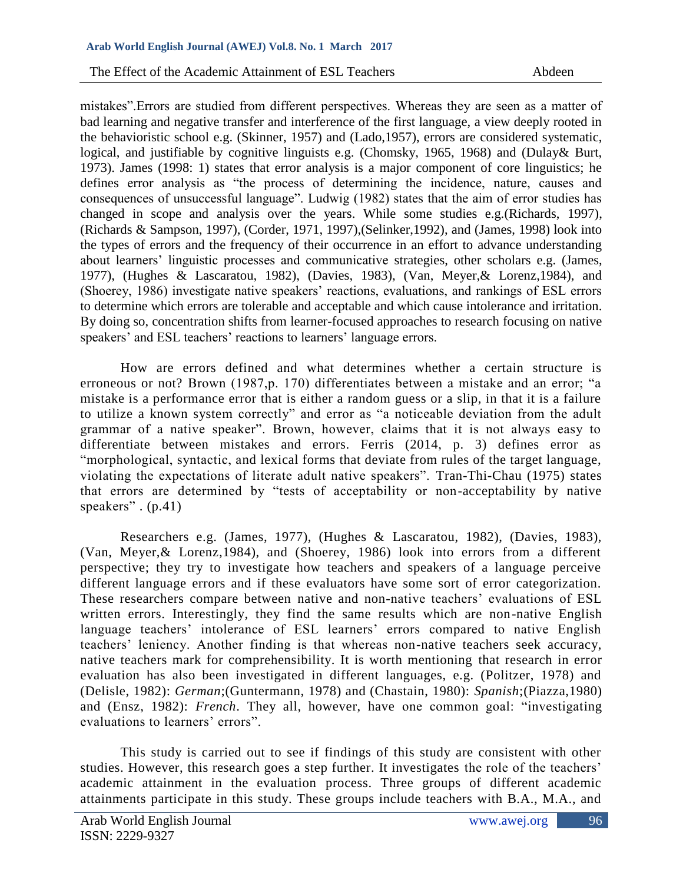mistakes".Errors are studied from different perspectives. Whereas they are seen as a matter of bad learning and negative transfer and interference of the first language, a view deeply rooted in the behavioristic school e.g. (Skinner, 1957) and (Lado,1957), errors are considered systematic, logical, and justifiable by cognitive linguists e.g. (Chomsky, 1965, 1968) and (Dulay& Burt, 1973). James (1998: 1) states that error analysis is a major component of core linguistics; he defines error analysis as "the process of determining the incidence, nature, causes and consequences of unsuccessful language". Ludwig (1982) states that the aim of error studies has changed in scope and analysis over the years. While some studies e.g.(Richards, 1997), (Richards & Sampson, 1997), (Corder, 1971, 1997),(Selinker,1992), and (James, 1998) look into the types of errors and the frequency of their occurrence in an effort to advance understanding about learners' linguistic processes and communicative strategies, other scholars e.g. (James, 1977), (Hughes & Lascaratou, 1982), (Davies, 1983), (Van, Meyer,& Lorenz,1984), and (Shoerey, 1986) investigate native speakers' reactions, evaluations, and rankings of ESL errors to determine which errors are tolerable and acceptable and which cause intolerance and irritation. By doing so, concentration shifts from learner-focused approaches to research focusing on native speakers' and ESL teachers' reactions to learners' language errors.

How are errors defined and what determines whether a certain structure is erroneous or not? Brown (1987,p. 170) differentiates between a mistake and an error; "a mistake is a performance error that is either a random guess or a slip, in that it is a failure to utilize a known system correctly" and error as "a noticeable deviation from the adult grammar of a native speaker". Brown, however, claims that it is not always easy to differentiate between mistakes and errors. Ferris (2014, p. 3) defines error as "morphological, syntactic, and lexical forms that deviate from rules of the target language, violating the expectations of literate adult native speakers". Tran-Thi-Chau (1975) states that errors are determined by "tests of acceptability or non-acceptability by native speakers" . (p.41)

Researchers e.g. (James, 1977), (Hughes & Lascaratou, 1982), (Davies, 1983), (Van, Meyer,& Lorenz,1984), and (Shoerey, 1986) look into errors from a different perspective; they try to investigate how teachers and speakers of a language perceive different language errors and if these evaluators have some sort of error categorization. These researchers compare between native and non-native teachers' evaluations of ESL written errors. Interestingly, they find the same results which are non-native English language teachers' intolerance of ESL learners' errors compared to native English teachers' leniency. Another finding is that whereas non-native teachers seek accuracy, native teachers mark for comprehensibility. It is worth mentioning that research in error evaluation has also been investigated in different languages, e.g. (Politzer, 1978) and (Delisle, 1982): *German*;(Guntermann, 1978) and (Chastain, 1980): *Spanish*;(Piazza,1980) and (Ensz, 1982): *French*. They all, however, have one common goal: "investigating evaluations to learners' errors".

This study is carried out to see if findings of this study are consistent with other studies. However, this research goes a step further. It investigates the role of the teachers' academic attainment in the evaluation process. Three groups of different academic attainments participate in this study. These groups include teachers with B.A., M.A., and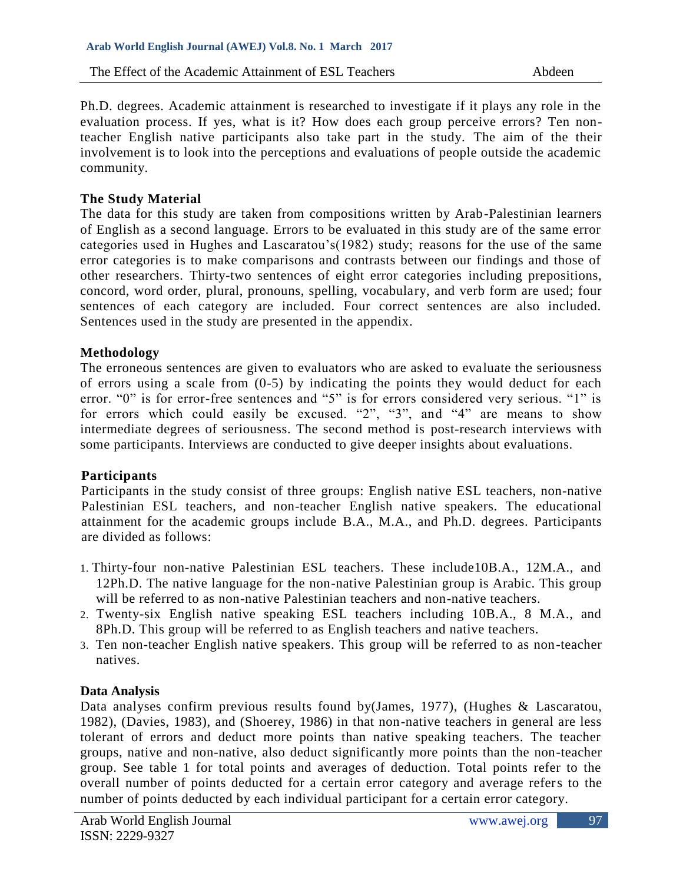Ph.D. degrees. Academic attainment is researched to investigate if it plays any role in the evaluation process. If yes, what is it? How does each group perceive errors? Ten nonteacher English native participants also take part in the study. The aim of the their involvement is to look into the perceptions and evaluations of people outside the academic community.

### **The Study Material**

The data for this study are taken from compositions written by Arab-Palestinian learners of English as a second language. Errors to be evaluated in this study are of the same error categories used in Hughes and Lascaratou's(1982) study; reasons for the use of the same error categories is to make comparisons and contrasts between our findings and those of other researchers. Thirty-two sentences of eight error categories including prepositions, concord, word order, plural, pronouns, spelling, vocabulary, and verb form are used; four sentences of each category are included. Four correct sentences are also included. Sentences used in the study are presented in the appendix.

## **Methodology**

The erroneous sentences are given to evaluators who are asked to evaluate the seriousness of errors using a scale from (0-5) by indicating the points they would deduct for each error. "0" is for error-free sentences and "5" is for errors considered very serious. "1" is for errors which could easily be excused. "2", "3", and "4" are means to show intermediate degrees of seriousness. The second method is post-research interviews with some participants. Interviews are conducted to give deeper insights about evaluations.

### **Participants**

Participants in the study consist of three groups: English native ESL teachers, non-native Palestinian ESL teachers, and non-teacher English native speakers. The educational attainment for the academic groups include B.A., M.A., and Ph.D. degrees. Participants are divided as follows:

- 1. Thirty-four non-native Palestinian ESL teachers. These include10B.A., 12M.A., and 12Ph.D. The native language for the non-native Palestinian group is Arabic. This group will be referred to as non-native Palestinian teachers and non-native teachers.
- 2. Twenty-six English native speaking ESL teachers including 10B.A., 8 M.A., and 8Ph.D. This group will be referred to as English teachers and native teachers.
- 3. Ten non-teacher English native speakers. This group will be referred to as non-teacher natives.

### **Data Analysis**

Data analyses confirm previous results found by(James, 1977), (Hughes & Lascaratou, 1982), (Davies, 1983), and (Shoerey, 1986) in that non-native teachers in general are less tolerant of errors and deduct more points than native speaking teachers. The teacher groups, native and non-native, also deduct significantly more points than the non-teacher group. See table 1 for total points and averages of deduction. Total points refer to the overall number of points deducted for a certain error category and average refers to the number of points deducted by each individual participant for a certain error category.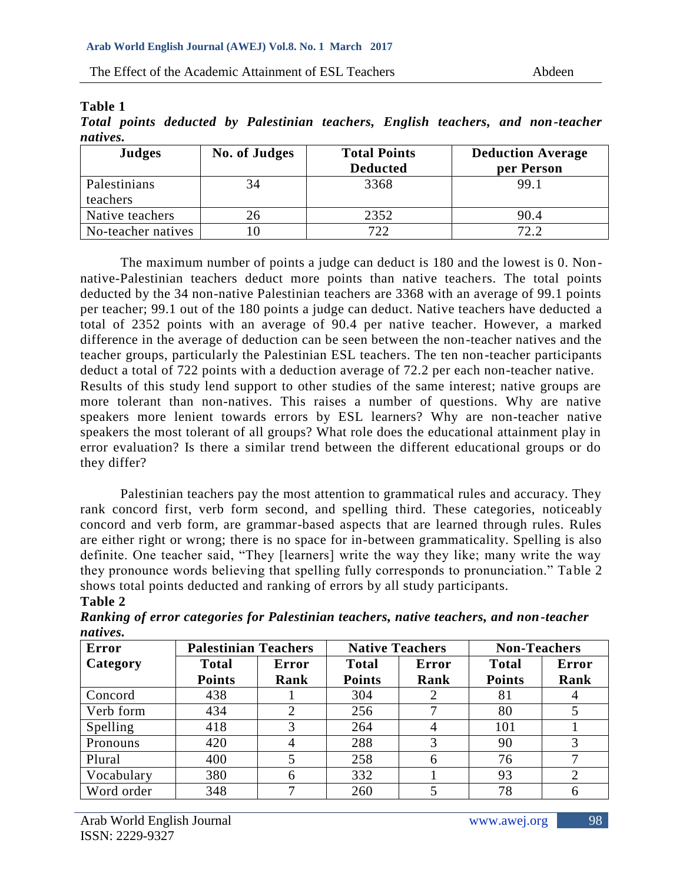# **Table 1**

|          |  |  |  |  | Total points deducted by Palestinian teachers, English teachers, and non-teacher |
|----------|--|--|--|--|----------------------------------------------------------------------------------|
| natives. |  |  |  |  |                                                                                  |

| <b>Judges</b>            | No. of Judges | <b>Total Points</b><br><b>Deducted</b> | <b>Deduction Average</b><br>per Person |
|--------------------------|---------------|----------------------------------------|----------------------------------------|
| Palestinians<br>teachers | 34            | 3368                                   | 99.1                                   |
| Native teachers          | 26            | 2352                                   | 90.4                                   |
| No-teacher natives       |               | 722                                    | 72.2                                   |

The maximum number of points a judge can deduct is 180 and the lowest is 0. Nonnative-Palestinian teachers deduct more points than native teachers. The total points deducted by the 34 non-native Palestinian teachers are 3368 with an average of 99.1 points per teacher; 99.1 out of the 180 points a judge can deduct. Native teachers have deducted a total of 2352 points with an average of 90.4 per native teacher. However, a marked difference in the average of deduction can be seen between the non-teacher natives and the teacher groups, particularly the Palestinian ESL teachers. The ten non-teacher participants deduct a total of 722 points with a deduction average of 72.2 per each non-teacher native. Results of this study lend support to other studies of the same interest; native groups are more tolerant than non-natives. This raises a number of questions. Why are native speakers more lenient towards errors by ESL learners? Why are non-teacher native speakers the most tolerant of all groups? What role does the educational attainment play in error evaluation? Is there a similar trend between the different educational groups or do they differ?

Palestinian teachers pay the most attention to grammatical rules and accuracy. They rank concord first, verb form second, and spelling third. These categories, noticeably concord and verb form, are grammar-based aspects that are learned through rules. Rules are either right or wrong; there is no space for in-between grammaticality. Spelling is also definite. One teacher said, "They [learners] write the way they like; many write the way they pronounce words believing that spelling fully corresponds to pronunciation." Table 2 shows total points deducted and ranking of errors by all study participants.

#### **Table 2**

| Ranking of error categories for Palestinian teachers, native teachers, and non-teacher |  |  |  |  |
|----------------------------------------------------------------------------------------|--|--|--|--|
| natives.                                                                               |  |  |  |  |

| <b>Error</b> | <b>Palestinian Teachers</b> |       | <b>Native Teachers</b> |       | <b>Non-Teachers</b> |                |
|--------------|-----------------------------|-------|------------------------|-------|---------------------|----------------|
| Category     | <b>Total</b>                | Error | <b>Total</b>           | Error | <b>Total</b>        | Error          |
|              | <b>Points</b>               | Rank  | <b>Points</b>          | Rank  | <b>Points</b>       | Rank           |
| Concord      | 438                         |       | 304                    |       | 81                  |                |
| Verb form    | 434                         | 2     | 256                    |       | 80                  |                |
| Spelling     | 418                         |       | 264                    |       | 101                 |                |
| Pronouns     | 420                         |       | 288                    |       | 90                  |                |
| Plural       | 400                         |       | 258                    | 6     | 76                  |                |
| Vocabulary   | 380                         | 6     | 332                    |       | 93                  | $\overline{2}$ |
| Word order   | 348                         |       | 260                    |       | 78                  | 6              |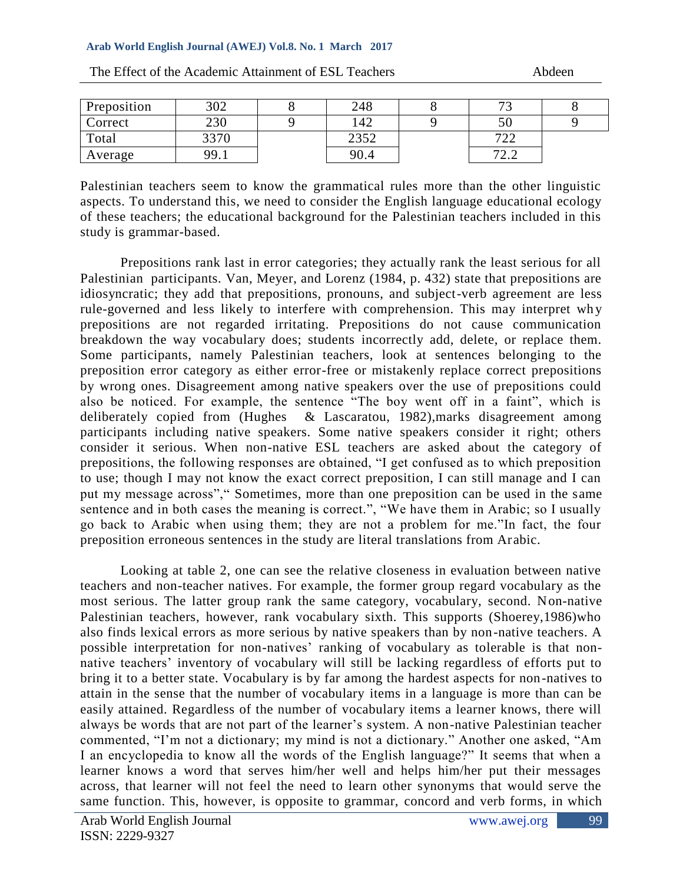#### **Arab World English Journal (AWEJ) Vol.8. No. 1 March 2017**

| Preposition | 302  | 248  | $\overline{\phantom{a}}$                                           |  |
|-------------|------|------|--------------------------------------------------------------------|--|
| Correct     | 230  | 142  | 50                                                                 |  |
| Total       | 3370 | 2352 | 700<br>ے ک                                                         |  |
| Average     | 99.1 | 90.4 | $7^{\circ}$<br>$\overline{\phantom{a}}\cdot\overline{\phantom{a}}$ |  |

The Effect of the Academic Attainment of ESL Teachers Abdeen

# Palestinian teachers seem to know the grammatical rules more than the other linguistic aspects. To understand this, we need to consider the English language educational ecology of these teachers; the educational background for the Palestinian teachers included in this study is grammar-based.

Prepositions rank last in error categories; they actually rank the least serious for all Palestinian participants. Van, Meyer, and Lorenz (1984, p. 432) state that prepositions are idiosyncratic; they add that prepositions, pronouns, and subject-verb agreement are less rule-governed and less likely to interfere with comprehension. This may interpret wh y prepositions are not regarded irritating. Prepositions do not cause communication breakdown the way vocabulary does; students incorrectly add, delete, or replace them. Some participants, namely Palestinian teachers, look at sentences belonging to the preposition error category as either error-free or mistakenly replace correct prepositions by wrong ones. Disagreement among native speakers over the use of prepositions could also be noticed. For example, the sentence "The boy went off in a faint", which is deliberately copied from (Hughes & Lascaratou, 1982),marks disagreement among participants including native speakers. Some native speakers consider it right; others consider it serious. When non-native ESL teachers are asked about the category of prepositions, the following responses are obtained, "I get confused as to which preposition to use; though I may not know the exact correct preposition, I can still manage and I can put my message across"," Sometimes, more than one preposition can be used in the same sentence and in both cases the meaning is correct.", "We have them in Arabic; so I usually go back to Arabic when using them; they are not a problem for me."In fact, the four preposition erroneous sentences in the study are literal translations from Arabic.

Looking at table 2, one can see the relative closeness in evaluation between native teachers and non-teacher natives. For example, the former group regard vocabulary as the most serious. The latter group rank the same category, vocabulary, second. Non-native Palestinian teachers, however, rank vocabulary sixth. This supports (Shoerey,1986)who also finds lexical errors as more serious by native speakers than by non-native teachers. A possible interpretation for non-natives' ranking of vocabulary as tolerable is that nonnative teachers' inventory of vocabulary will still be lacking regardless of efforts put to bring it to a better state. Vocabulary is by far among the hardest aspects for non-natives to attain in the sense that the number of vocabulary items in a language is more than can be easily attained. Regardless of the number of vocabulary items a learner knows, there will always be words that are not part of the learner's system. A non-native Palestinian teacher commented, "I'm not a dictionary; my mind is not a dictionary." Another one asked, "Am I an encyclopedia to know all the words of the English language?" It seems that when a learner knows a word that serves him/her well and helps him/her put their messages across, that learner will not feel the need to learn other synonyms that would serve the same function. This, however, is opposite to grammar, concord and verb forms, in which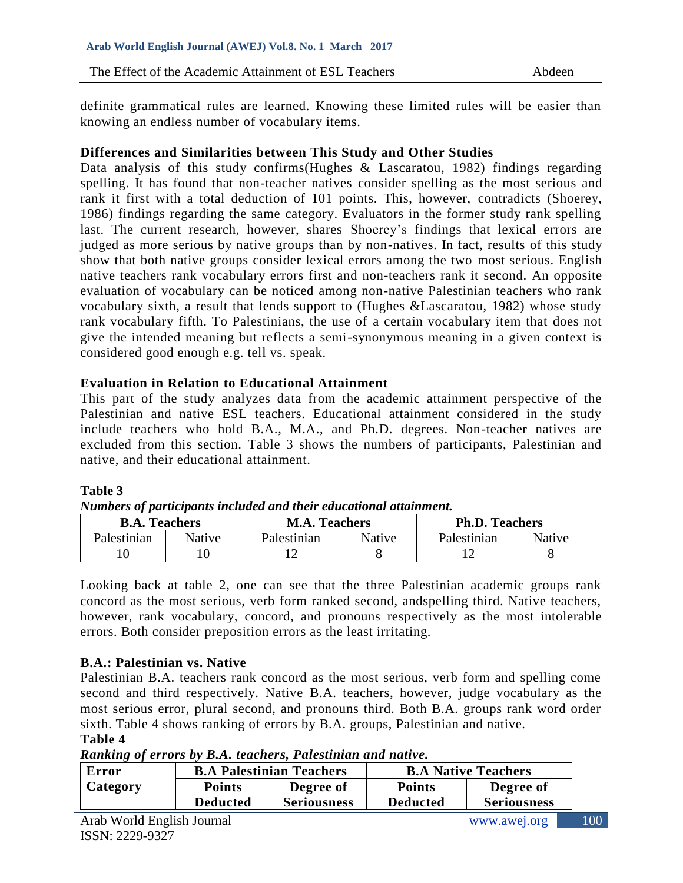definite grammatical rules are learned. Knowing these limited rules will be easier than knowing an endless number of vocabulary items.

## **Differences and Similarities between This Study and Other Studies**

Data analysis of this study confirms (Hughes & Lascaratou, 1982) findings regarding spelling. It has found that non-teacher natives consider spelling as the most serious and rank it first with a total deduction of 101 points. This, however, contradicts (Shoerey, 1986) findings regarding the same category. Evaluators in the former study rank spelling last. The current research, however, shares Shoerey's findings that lexical errors are judged as more serious by native groups than by non-natives. In fact, results of this study show that both native groups consider lexical errors among the two most serious. English native teachers rank vocabulary errors first and non-teachers rank it second. An opposite evaluation of vocabulary can be noticed among non-native Palestinian teachers who rank vocabulary sixth, a result that lends support to (Hughes &Lascaratou, 1982) whose study rank vocabulary fifth. To Palestinians, the use of a certain vocabulary item that does not give the intended meaning but reflects a semi-synonymous meaning in a given context is considered good enough e.g. tell vs. speak.

## **Evaluation in Relation to Educational Attainment**

This part of the study analyzes data from the academic attainment perspective of the Palestinian and native ESL teachers. Educational attainment considered in the study include teachers who hold B.A., M.A., and Ph.D. degrees. Non-teacher natives are excluded from this section. Table 3 shows the numbers of participants, Palestinian and native, and their educational attainment.

### **Table 3**

*Numbers of participants included and their educational attainment.*

| <b>B.A. Teachers</b> |               | <b>M.A. Teachers</b> |               | <b>Ph.D. Teachers</b> |        |  |
|----------------------|---------------|----------------------|---------------|-----------------------|--------|--|
| Palestinian          | <b>Native</b> | Palestinian          | <b>Native</b> | Palestinian           | Native |  |
|                      |               |                      |               |                       |        |  |

Looking back at table 2, one can see that the three Palestinian academic groups rank concord as the most serious, verb form ranked second, andspelling third. Native teachers, however, rank vocabulary, concord, and pronouns respectively as the most intolerable errors. Both consider preposition errors as the least irritating.

### **B.A.: Palestinian vs. Native**

Palestinian B.A. teachers rank concord as the most serious, verb form and spelling come second and third respectively. Native B.A. teachers, however, judge vocabulary as the most serious error, plural second, and pronouns third. Both B.A. groups rank word order sixth. Table 4 shows ranking of errors by B.A. groups, Palestinian and native.

#### **Table 4**

*Ranking of errors by B.A. teachers, Palestinian and native.*

| <b>Error</b> |               | <b>B.A Palestinian Teachers</b> | <b>B.A Native Teachers</b> |                    |  |
|--------------|---------------|---------------------------------|----------------------------|--------------------|--|
| Category     | <b>Points</b> | Degree of                       | <b>Points</b>              | Degree of          |  |
|              | Deducted      | <b>Seriousness</b>              | <b>Deducted</b>            | <b>Seriousness</b> |  |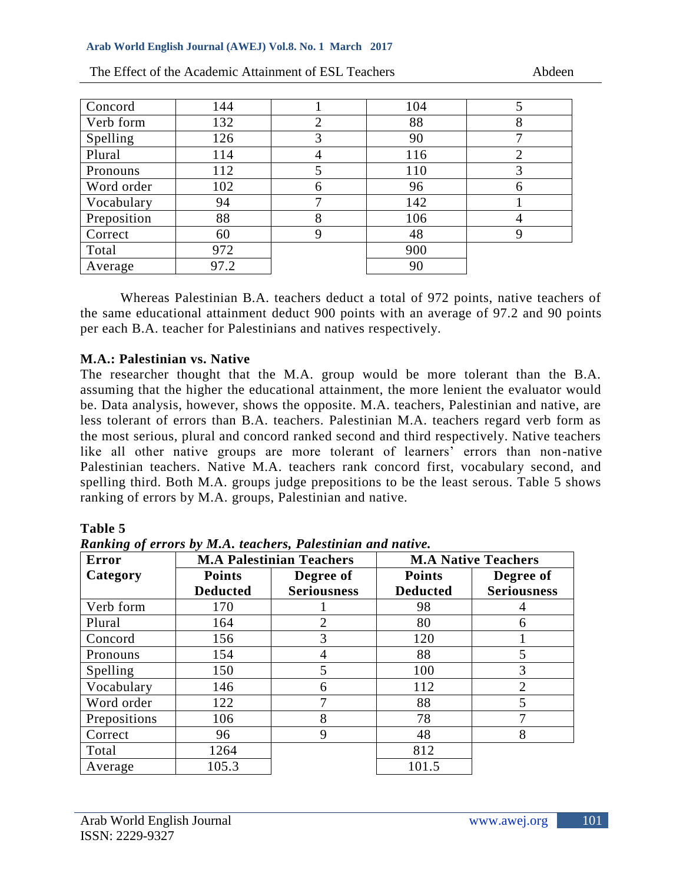#### **Arab World English Journal (AWEJ) Vol.8. No. 1 March 2017**

| Concord     | 144  |                | 104 | 5              |
|-------------|------|----------------|-----|----------------|
| Verb form   | 132  | $\overline{2}$ | 88  | 8              |
| Spelling    | 126  | 3              | 90  | 7              |
| Plural      | 114  | 4              | 116 | $\overline{2}$ |
| Pronouns    | 112  | 5              | 110 | 3              |
| Word order  | 102  | 6              | 96  | 6              |
| Vocabulary  | 94   | 7              | 142 |                |
| Preposition | 88   | 8              | 106 | 4              |
| Correct     | 60   | 9              | 48  | 9              |
| Total       | 972  |                | 900 |                |
| Average     | 97.2 |                | 90  |                |

The Effect of the Academic Attainment of ESL Teachers Abdeen

Whereas Palestinian B.A. teachers deduct a total of 972 points, native teachers of the same educational attainment deduct 900 points with an average of 97.2 and 90 points per each B.A. teacher for Palestinians and natives respectively.

## **M.A.: Palestinian vs. Native**

The researcher thought that the M.A. group would be more tolerant than the B.A. assuming that the higher the educational attainment, the more lenient the evaluator would be. Data analysis, however, shows the opposite. M.A. teachers, Palestinian and native, are less tolerant of errors than B.A. teachers. Palestinian M.A. teachers regard verb form as the most serious, plural and concord ranked second and third respectively. Native teachers like all other native groups are more tolerant of learners' errors than non-native Palestinian teachers. Native M.A. teachers rank concord first, vocabulary second, and spelling third. Both M.A. groups judge prepositions to be the least serous. Table 5 shows ranking of errors by M.A. groups, Palestinian and native.

**Table 5**

*Ranking of errors by M.A. teachers, Palestinian and native.*

| <b>Error</b> |                 | <b>M.A Palestinian Teachers</b> | <b>M.A Native Teachers</b> |                    |  |
|--------------|-----------------|---------------------------------|----------------------------|--------------------|--|
| Category     | <b>Points</b>   | Degree of                       | <b>Points</b>              | Degree of          |  |
|              | <b>Deducted</b> | <b>Seriousness</b>              | <b>Deducted</b>            | <b>Seriousness</b> |  |
| Verb form    | 170             |                                 | 98                         |                    |  |
| Plural       | 164             | $\overline{2}$                  | 80                         | 6                  |  |
| Concord      | 156             | 3                               | 120                        |                    |  |
| Pronouns     | 154             | 4                               | 88                         | 5                  |  |
| Spelling     | 150             | 5                               | 100                        | 3                  |  |
| Vocabulary   | 146             | 6                               | 112                        | 2                  |  |
| Word order   | 122             | 7                               | 88                         | 5                  |  |
| Prepositions | 106             | 8                               | 78                         |                    |  |
| Correct      | 96              | 9                               | 48                         | 8                  |  |
| Total        | 1264            |                                 | 812                        |                    |  |
| Average      | 105.3           |                                 | 101.5                      |                    |  |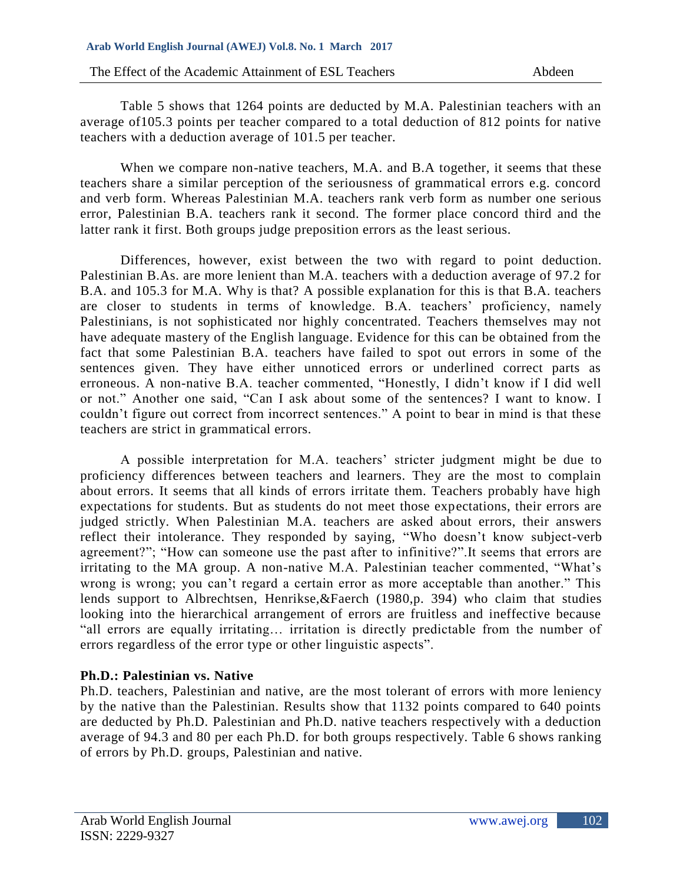Table 5 shows that 1264 points are deducted by M.A. Palestinian teachers with an average of105.3 points per teacher compared to a total deduction of 812 points for native teachers with a deduction average of 101.5 per teacher.

When we compare non-native teachers, M.A. and B.A together, it seems that these teachers share a similar perception of the seriousness of grammatical errors e.g. concord and verb form. Whereas Palestinian M.A. teachers rank verb form as number one serious error, Palestinian B.A. teachers rank it second. The former place concord third and the latter rank it first. Both groups judge preposition errors as the least serious.

Differences, however, exist between the two with regard to point deduction. Palestinian B.As. are more lenient than M.A. teachers with a deduction average of 97.2 for B.A. and 105.3 for M.A. Why is that? A possible explanation for this is that B.A. teachers are closer to students in terms of knowledge. B.A. teachers' proficiency, namely Palestinians, is not sophisticated nor highly concentrated. Teachers themselves may not have adequate mastery of the English language. Evidence for this can be obtained from the fact that some Palestinian B.A. teachers have failed to spot out errors in some of the sentences given. They have either unnoticed errors or underlined correct parts as erroneous. A non-native B.A. teacher commented, "Honestly, I didn't know if I did well or not." Another one said, "Can I ask about some of the sentences? I want to know. I couldn't figure out correct from incorrect sentences." A point to bear in mind is that these teachers are strict in grammatical errors.

A possible interpretation for M.A. teachers' stricter judgment might be due to proficiency differences between teachers and learners. They are the most to complain about errors. It seems that all kinds of errors irritate them. Teachers probably have high expectations for students. But as students do not meet those expectations, their errors are judged strictly. When Palestinian M.A. teachers are asked about errors, their answers reflect their intolerance. They responded by saying, "Who doesn't know subject-verb agreement?"; "How can someone use the past after to infinitive?".It seems that errors are irritating to the MA group. A non-native M.A. Palestinian teacher commented, "What's wrong is wrong; you can't regard a certain error as more acceptable than another." This lends support to Albrechtsen, Henrikse,&Faerch (1980,p. 394) who claim that studies looking into the hierarchical arrangement of errors are fruitless and ineffective because "all errors are equally irritating… irritation is directly predictable from the number of errors regardless of the error type or other linguistic aspects".

# **Ph.D.: Palestinian vs. Native**

Ph.D. teachers, Palestinian and native, are the most tolerant of errors with more leniency by the native than the Palestinian. Results show that 1132 points compared to 640 points are deducted by Ph.D. Palestinian and Ph.D. native teachers respectively with a deduction average of 94.3 and 80 per each Ph.D. for both groups respectively. Table 6 shows ranking of errors by Ph.D. groups, Palestinian and native.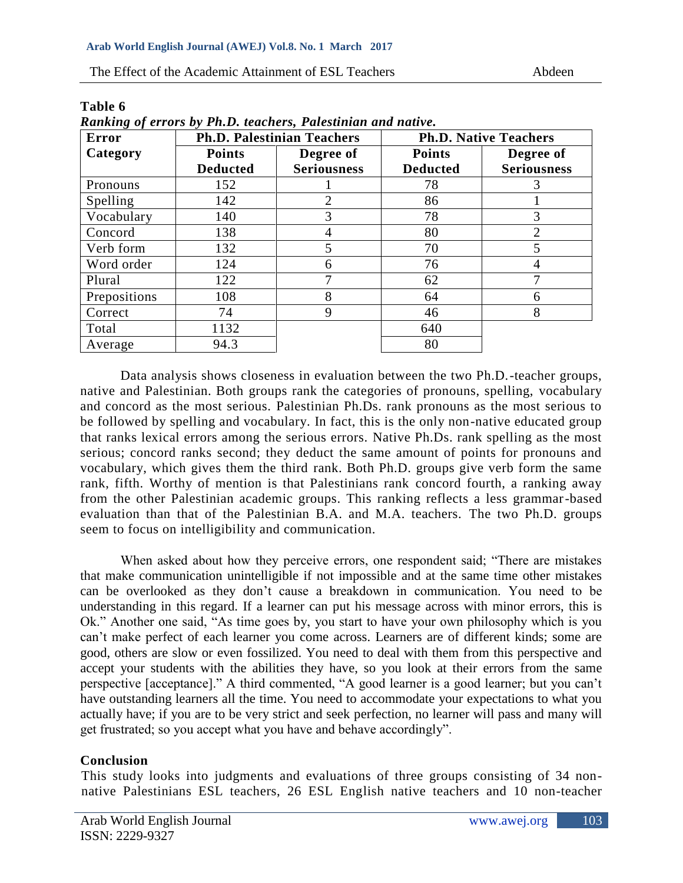| <b>Error</b> |                 | <b>Ph.D. Palestinian Teachers</b> | <b>Ph.D. Native Teachers</b> |                    |  |
|--------------|-----------------|-----------------------------------|------------------------------|--------------------|--|
| Category     | <b>Points</b>   | Degree of                         | <b>Points</b>                | Degree of          |  |
|              | <b>Deducted</b> | <b>Seriousness</b>                | <b>Deducted</b>              | <b>Seriousness</b> |  |
| Pronouns     | 152             |                                   | 78                           | 3                  |  |
| Spelling     | 142             | 2                                 | 86                           |                    |  |
| Vocabulary   | 140             | 3                                 | 78                           | 3                  |  |
| Concord      | 138             | 4                                 | 80                           | $\overline{2}$     |  |
| Verb form    | 132             | 5                                 | 70                           | 5                  |  |
| Word order   | 124             | 6                                 | 76                           |                    |  |
| Plural       | 122             | 7                                 | 62                           | 7                  |  |
| Prepositions | 108             | 8                                 | 64                           | 6                  |  |
| Correct      | 74              | 9                                 | 46                           | 8                  |  |
| Total        | 1132            |                                   | 640                          |                    |  |
| Average      | 94.3            |                                   | 80                           |                    |  |

**Table 6** *Ranking of errors by Ph.D. teachers, Palestinian and native.*

Data analysis shows closeness in evaluation between the two Ph.D.-teacher groups, native and Palestinian. Both groups rank the categories of pronouns, spelling, vocabulary and concord as the most serious. Palestinian Ph.Ds. rank pronouns as the most serious to be followed by spelling and vocabulary. In fact, this is the only non-native educated group that ranks lexical errors among the serious errors. Native Ph.Ds. rank spelling as the most serious; concord ranks second; they deduct the same amount of points for pronouns and vocabulary, which gives them the third rank. Both Ph.D. groups give verb form the same rank, fifth. Worthy of mention is that Palestinians rank concord fourth, a ranking away from the other Palestinian academic groups. This ranking reflects a less grammar-based evaluation than that of the Palestinian B.A. and M.A. teachers. The two Ph.D. groups seem to focus on intelligibility and communication.

When asked about how they perceive errors, one respondent said; "There are mistakes that make communication unintelligible if not impossible and at the same time other mistakes can be overlooked as they don't cause a breakdown in communication. You need to be understanding in this regard. If a learner can put his message across with minor errors, this is Ok." Another one said, "As time goes by, you start to have your own philosophy which is you can't make perfect of each learner you come across. Learners are of different kinds; some are good, others are slow or even fossilized. You need to deal with them from this perspective and accept your students with the abilities they have, so you look at their errors from the same perspective [acceptance]." A third commented, "A good learner is a good learner; but you can't have outstanding learners all the time. You need to accommodate your expectations to what you actually have; if you are to be very strict and seek perfection, no learner will pass and many will get frustrated; so you accept what you have and behave accordingly".

# **Conclusion**

This study looks into judgments and evaluations of three groups consisting of 34 nonnative Palestinians ESL teachers, 26 ESL English native teachers and 10 non-teacher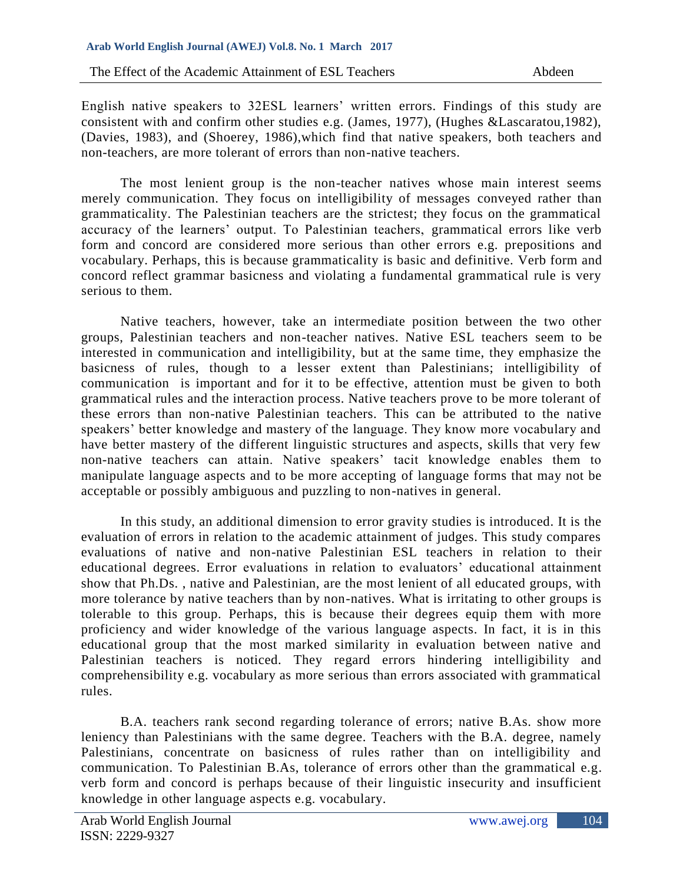English native speakers to 32ESL learners' written errors. Findings of this study are consistent with and confirm other studies e.g. (James, 1977), (Hughes &Lascaratou,1982), (Davies, 1983), and (Shoerey, 1986),which find that native speakers, both teachers and non-teachers, are more tolerant of errors than non-native teachers.

The most lenient group is the non-teacher natives whose main interest seems merely communication. They focus on intelligibility of messages conveyed rather than grammaticality. The Palestinian teachers are the strictest; they focus on the grammatical accuracy of the learners' output. To Palestinian teachers, grammatical errors like verb form and concord are considered more serious than other errors e.g. prepositions and vocabulary. Perhaps, this is because grammaticality is basic and definitive. Verb form and concord reflect grammar basicness and violating a fundamental grammatical rule is very serious to them.

Native teachers, however, take an intermediate position between the two other groups, Palestinian teachers and non-teacher natives. Native ESL teachers seem to be interested in communication and intelligibility, but at the same time, they emphasize the basicness of rules, though to a lesser extent than Palestinians; intelligibility of communication is important and for it to be effective, attention must be given to both grammatical rules and the interaction process. Native teachers prove to be more tolerant of these errors than non-native Palestinian teachers. This can be attributed to the native speakers' better knowledge and mastery of the language. They know more vocabulary and have better mastery of the different linguistic structures and aspects, skills that very few non-native teachers can attain. Native speakers' tacit knowledge enables them to manipulate language aspects and to be more accepting of language forms that may not be acceptable or possibly ambiguous and puzzling to non-natives in general.

In this study, an additional dimension to error gravity studies is introduced. It is the evaluation of errors in relation to the academic attainment of judges. This study compares evaluations of native and non-native Palestinian ESL teachers in relation to their educational degrees. Error evaluations in relation to evaluators' educational attainment show that Ph.Ds. , native and Palestinian, are the most lenient of all educated groups, with more tolerance by native teachers than by non-natives. What is irritating to other groups is tolerable to this group. Perhaps, this is because their degrees equip them with more proficiency and wider knowledge of the various language aspects. In fact, it is in this educational group that the most marked similarity in evaluation between native and Palestinian teachers is noticed. They regard errors hindering intelligibility and comprehensibility e.g. vocabulary as more serious than errors associated with grammatical rules.

B.A. teachers rank second regarding tolerance of errors; native B.As. show more leniency than Palestinians with the same degree. Teachers with the B.A. degree, namely Palestinians, concentrate on basicness of rules rather than on intelligibility and communication. To Palestinian B.As, tolerance of errors other than the grammatical e.g. verb form and concord is perhaps because of their linguistic insecurity and insufficient knowledge in other language aspects e.g. vocabulary.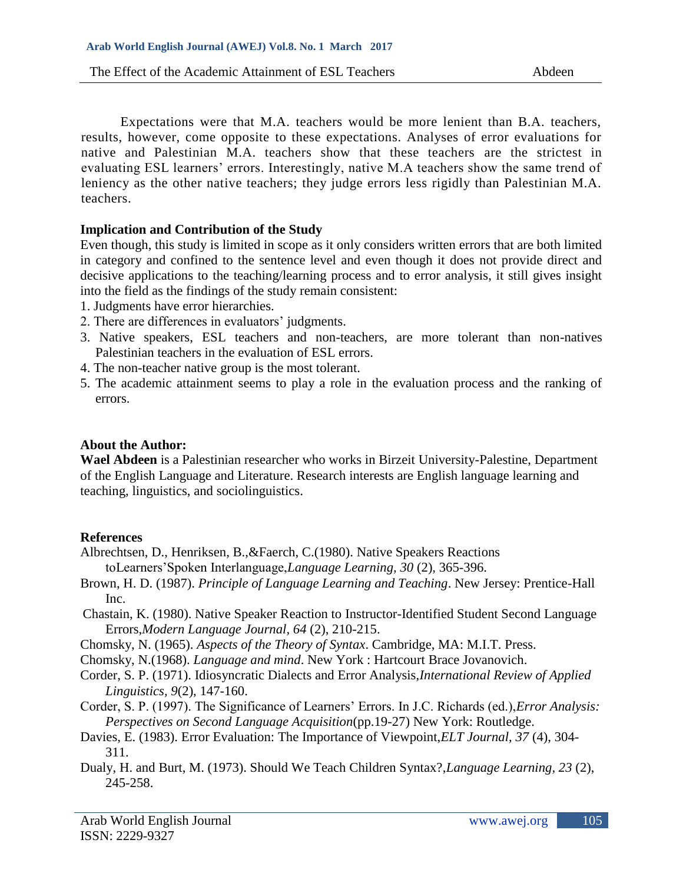Expectations were that M.A. teachers would be more lenient than B.A. teachers, results, however, come opposite to these expectations. Analyses of error evaluations for native and Palestinian M.A. teachers show that these teachers are the strictest in evaluating ESL learners' errors. Interestingly, native M.A teachers show the same trend of leniency as the other native teachers; they judge errors less rigidly than Palestinian M.A. teachers.

## **Implication and Contribution of the Study**

Even though, this study is limited in scope as it only considers written errors that are both limited in category and confined to the sentence level and even though it does not provide direct and decisive applications to the teaching/learning process and to error analysis, it still gives insight into the field as the findings of the study remain consistent:

- 1. Judgments have error hierarchies.
- 2. There are differences in evaluators' judgments.
- 3. Native speakers, ESL teachers and non-teachers, are more tolerant than non-natives Palestinian teachers in the evaluation of ESL errors.
- 4. The non-teacher native group is the most tolerant.
- 5. The academic attainment seems to play a role in the evaluation process and the ranking of errors.

### **About the Author:**

**Wael Abdeen** is a Palestinian researcher who works in Birzeit University-Palestine, Department of the English Language and Literature. Research interests are English language learning and teaching, linguistics, and sociolinguistics.

### **References**

Albrechtsen, D., Henriksen, B.,&Faerch, C.(1980). Native Speakers Reactions toLearners'Spoken Interlanguage,*Language Learning, 30* (2), 365-396.

- Brown, H. D. (1987). *Principle of Language Learning and Teaching*. New Jersey: Prentice-Hall Inc.
- Chastain, K. (1980). Native Speaker Reaction to Instructor-Identified Student Second Language Errors,*Modern Language Journal, 64* (2), 210-215.
- Chomsky, N. (1965). *Aspects of the Theory of Syntax*. Cambridge, MA: M.I.T. Press.
- Chomsky, N.(1968). *Language and mind*. New York : Hartcourt Brace Jovanovich.
- Corder, S. P. (1971). Idiosyncratic Dialects and Error Analysis,*International Review of Applied Linguistics, 9*(2), 147-160.
- Corder, S. P. (1997). The Significance of Learners' Errors. In J.C. Richards (ed.),*Error Analysis: Perspectives on Second Language Acquisition*(pp.19-27) New York: Routledge.
- Davies, E. (1983). Error Evaluation: The Importance of Viewpoint,*ELT Journal, 37* (4), 304- 311.
- Dualy, H. and Burt, M. (1973). Should We Teach Children Syntax?,*Language Learning, 23* (2), 245-258.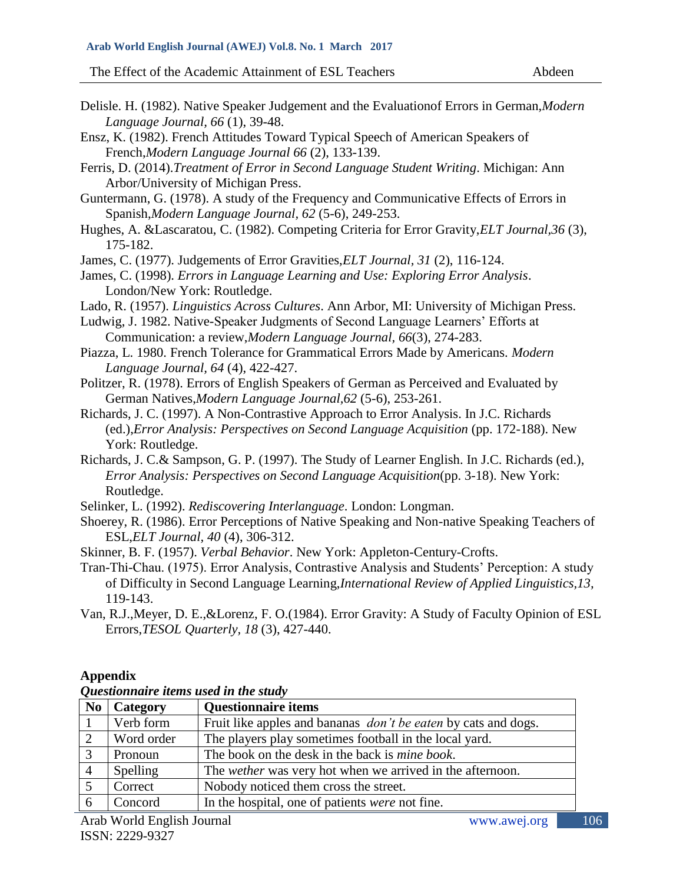- Delisle. H. (1982). Native Speaker Judgement and the Evaluationof Errors in German,*Modern Language Journal, 66* (1), 39-48.
- Ensz, K. (1982). French Attitudes Toward Typical Speech of American Speakers of French,*Modern Language Journal 66* (2), 133-139.
- Ferris, D. (2014).*Treatment of Error in Second Language Student Writing*. Michigan: Ann Arbor/University of Michigan Press.
- Guntermann, G. (1978). A study of the Frequency and Communicative Effects of Errors in Spanish,*Modern Language Journal, 62* (5-6), 249-253.
- Hughes, A. &Lascaratou, C. (1982). Competing Criteria for Error Gravity,*ELT Journal,36* (3), 175-182.
- James, C. (1977). Judgements of Error Gravities,*ELT Journal, 31* (2), 116-124.
- James, C. (1998). *Errors in Language Learning and Use: Exploring Error Analysis*. London/New York: Routledge.
- Lado, R. (1957). *Linguistics Across Cultures*. Ann Arbor, MI: University of Michigan Press.

Ludwig, J. 1982. Native-Speaker Judgments of Second Language Learners' Efforts at Communication: a review,*Modern Language Journal, 66*(3), 274-283.

- Piazza, L. 1980. French Tolerance for Grammatical Errors Made by Americans. *Modern Language Journal, 64* (4), 422-427.
- Politzer, R. (1978). Errors of English Speakers of German as Perceived and Evaluated by German Natives,*Modern Language Journal,62* (5-6), 253-261.
- Richards, J. C. (1997). A Non-Contrastive Approach to Error Analysis. In J.C. Richards (ed.),*Error Analysis: Perspectives on Second Language Acquisition* (pp. 172-188). New York: Routledge.
- Richards, J. C.& Sampson, G. P. (1997). The Study of Learner English. In J.C. Richards (ed.), *Error Analysis: Perspectives on Second Language Acquisition*(pp. 3-18). New York: Routledge.
- Selinker, L. (1992). *Rediscovering Interlanguage*. London: Longman.
- Shoerey, R. (1986). Error Perceptions of Native Speaking and Non-native Speaking Teachers of ESL,*ELT Journal, 40* (4), 306-312.
- Skinner, B. F. (1957). *Verbal Behavior*. New York: Appleton-Century-Crofts.
- Tran-Thi-Chau. (1975). Error Analysis, Contrastive Analysis and Students' Perception: A study of Difficulty in Second Language Learning,*International Review of Applied Linguistics,13,* 119-143.
- Van, R.J.,Meyer, D. E.,&Lorenz, F. O.(1984). Error Gravity: A Study of Faculty Opinion of ESL Errors,*TESOL Quarterly, 18* (3), 427-440.

#### **Appendix**

| N <sub>0</sub> | Category   | <b>Questionnaire items</b>                                            |
|----------------|------------|-----------------------------------------------------------------------|
|                | Verb form  | Fruit like apples and bananas <i>don't be eaten</i> by cats and dogs. |
|                | Word order | The players play sometimes football in the local yard.                |
|                | Pronoun    | The book on the desk in the back is <i>mine book</i> .                |
| $\overline{4}$ | Spelling   | The <i>wether</i> was very hot when we arrived in the afternoon.      |
|                | Correct    | Nobody noticed them cross the street.                                 |
| 6              | Concord    | In the hospital, one of patients were not fine.                       |

### *Questionnaire items used in the study*